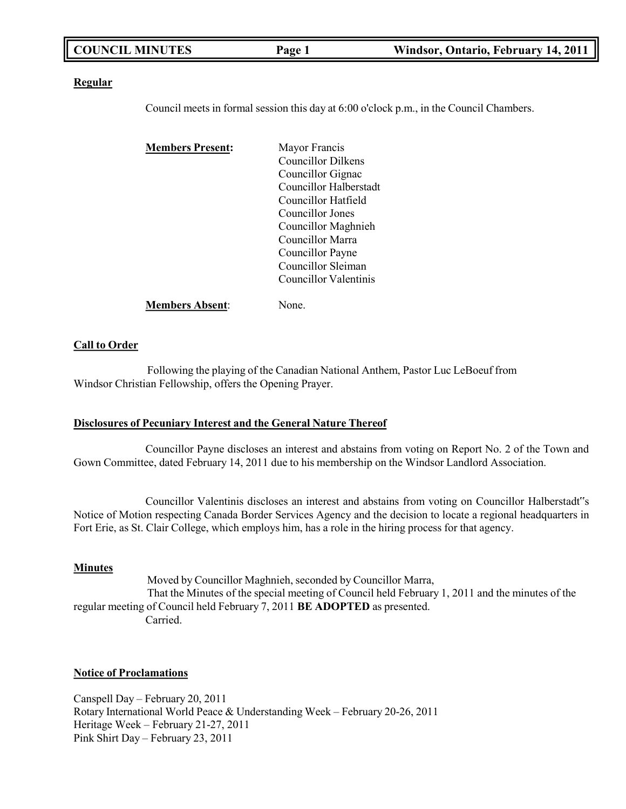| <b>COUNCIL MINUTES</b><br>Page 1 | Windsor, Ontario, February 14, 2011 |
|----------------------------------|-------------------------------------|
|----------------------------------|-------------------------------------|

### **Regular**

Council meets in formal session this day at 6:00 o'clock p.m., in the Council Chambers.

| <b>Members Present:</b> | Mayor Francis          |
|-------------------------|------------------------|
|                         | Councillor Dilkens     |
|                         | Councillor Gignac      |
|                         | Councillor Halberstadt |
|                         | Councillor Hatfield    |
|                         | Councillor Jones       |
|                         | Councillor Maghnieh    |
|                         | Councillor Marra       |
|                         | Councillor Payne       |
|                         | Councillor Sleiman     |
|                         | Councillor Valentinis  |
| <b>Members Absent:</b>  | None.                  |

### **Call to Order**

Following the playing of the Canadian National Anthem, Pastor Luc LeBoeuf from Windsor Christian Fellowship, offers the Opening Prayer.

### **Disclosures of Pecuniary Interest and the General Nature Thereof**

Councillor Payne discloses an interest and abstains from voting on Report No. 2 of the Town and Gown Committee, dated February 14, 2011 due to his membership on the Windsor Landlord Association.

Councillor Valentinis discloses an interest and abstains from voting on Councillor Halberstadt"s Notice of Motion respecting Canada Border Services Agency and the decision to locate a regional headquarters in Fort Erie, as St. Clair College, which employs him, has a role in the hiring process for that agency.

### **Minutes**

Moved by Councillor Maghnieh, seconded by Councillor Marra, That the Minutes of the special meeting of Council held February 1, 2011 and the minutes of the regular meeting of Council held February 7, 2011 **BE ADOPTED** as presented. Carried.

### **Notice of Proclamations**

Canspell Day – February 20, 2011 Rotary International World Peace & Understanding Week – February 20-26, 2011 Heritage Week – February 21-27, 2011 Pink Shirt Day – February 23, 2011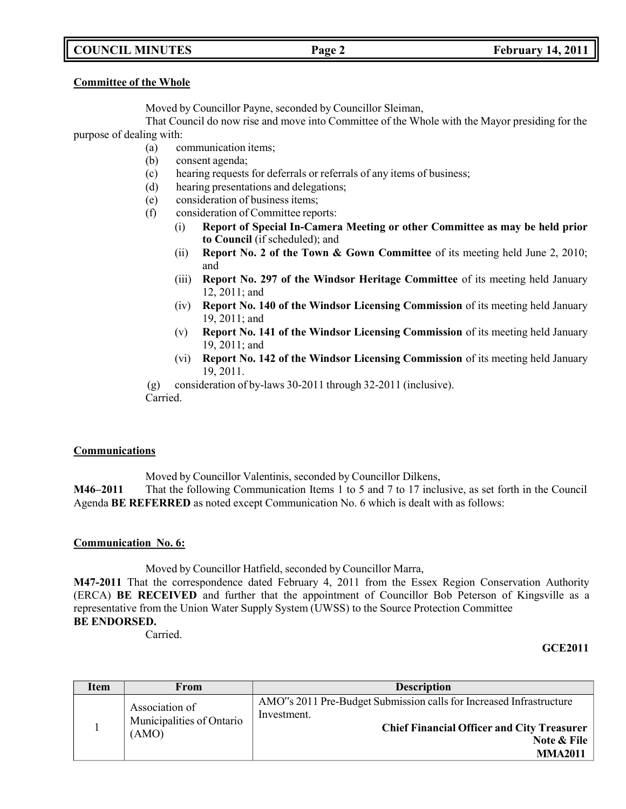## **COUNCIL MINUTES Page 2 February 14, 2011**

### **Committee of the Whole**

Moved by Councillor Payne, seconded by Councillor Sleiman,

That Council do now rise and move into Committee of the Whole with the Mayor presiding for the purpose of dealing with:

- (a) communication items;
- (b) consent agenda;
- (c) hearing requests for deferrals or referrals of any items of business;
- (d) hearing presentations and delegations;
- (e) consideration of business items;
- (f) consideration of Committee reports:
	- (i) **Report of Special In-Camera Meeting or other Committee as may be held prior to Council** (if scheduled); and
	- (ii) **Report No. 2 of the Town & Gown Committee** of its meeting held June 2, 2010; and
	- (iii) **Report No. 297 of the Windsor Heritage Committee** of its meeting held January 12, 2011; and
	- (iv) **Report No. 140 of the Windsor Licensing Commission** of its meeting held January 19, 2011; and
	- (v) **Report No. 141 of the Windsor Licensing Commission** of its meeting held January 19, 2011; and
	- (vi) **Report No. 142 of the Windsor Licensing Commission** of its meeting held January 19, 2011.

(g) consideration of by-laws 30-2011 through 32-2011 (inclusive). Carried.

## **Communications**

Moved by Councillor Valentinis, seconded by Councillor Dilkens,

**M46–2011** That the following Communication Items 1 to 5 and 7 to 17 inclusive, as set forth in the Council Agenda **BE REFERRED** as noted except Communication No. 6 which is dealt with as follows:

## **Communication No. 6:**

Moved by Councillor Hatfield, seconded by Councillor Marra,

**M47-2011** That the correspondence dated February 4, 2011 from the Essex Region Conservation Authority (ERCA) **BE RECEIVED** and further that the appointment of Councillor Bob Peterson of Kingsville as a representative from the Union Water Supply System (UWSS) to the Source Protection Committee **BE ENDORSED.**

Carried.

## **GCE2011**

| Item | From                                                 | <b>Description</b>                                                                                                                                                       |
|------|------------------------------------------------------|--------------------------------------------------------------------------------------------------------------------------------------------------------------------------|
|      | Association of<br>Municipalities of Ontario<br>(AMO) | AMO"s 2011 Pre-Budget Submission calls for Increased Infrastructure<br>Investment.<br><b>Chief Financial Officer and City Treasurer</b><br>Note & File<br><b>MMA2011</b> |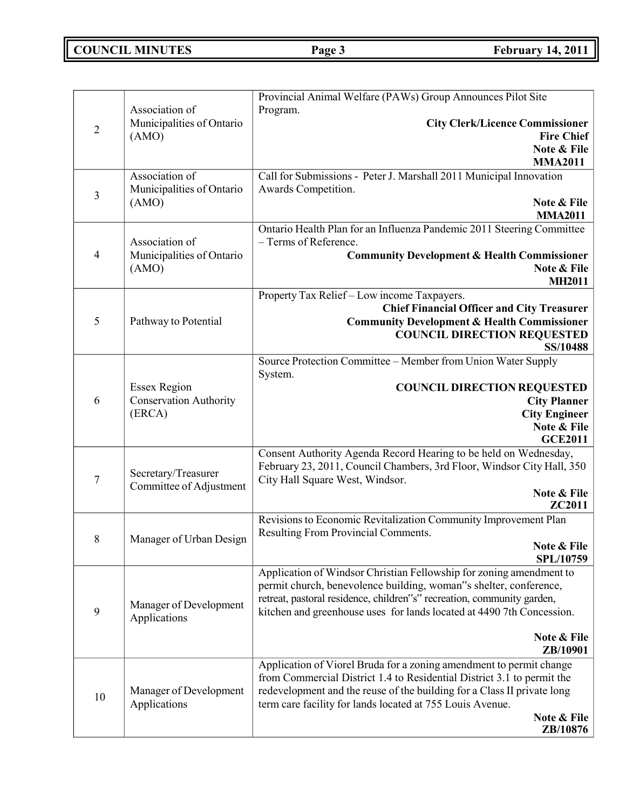**COUNCIL MINUTES Page 3 February 14, 2011**

|                |                               | Provincial Animal Welfare (PAWs) Group Announces Pilot Site                                                                                     |
|----------------|-------------------------------|-------------------------------------------------------------------------------------------------------------------------------------------------|
|                | Association of                | Program.                                                                                                                                        |
| $\overline{2}$ | Municipalities of Ontario     | <b>City Clerk/Licence Commissioner</b>                                                                                                          |
|                | (AMO)                         | <b>Fire Chief</b><br>Note & File                                                                                                                |
|                |                               | <b>MMA2011</b>                                                                                                                                  |
|                | Association of                | Call for Submissions - Peter J. Marshall 2011 Municipal Innovation                                                                              |
| $\mathfrak{Z}$ | Municipalities of Ontario     | Awards Competition.                                                                                                                             |
|                | (AMO)                         | Note & File<br><b>MMA2011</b>                                                                                                                   |
|                |                               | Ontario Health Plan for an Influenza Pandemic 2011 Steering Committee                                                                           |
|                | Association of                | - Terms of Reference.                                                                                                                           |
| $\overline{4}$ | Municipalities of Ontario     | <b>Community Development &amp; Health Commissioner</b>                                                                                          |
|                | (AMO)                         | Note & File                                                                                                                                     |
|                |                               | <b>MH2011</b>                                                                                                                                   |
|                |                               | Property Tax Relief - Low income Taxpayers.                                                                                                     |
| 5              | Pathway to Potential          | <b>Chief Financial Officer and City Treasurer</b><br><b>Community Development &amp; Health Commissioner</b>                                     |
|                |                               | <b>COUNCIL DIRECTION REQUESTED</b>                                                                                                              |
|                |                               | <b>SS/10488</b>                                                                                                                                 |
|                |                               | Source Protection Committee - Member from Union Water Supply                                                                                    |
|                |                               | System.                                                                                                                                         |
|                | <b>Essex Region</b>           | <b>COUNCIL DIRECTION REQUESTED</b>                                                                                                              |
| 6              | <b>Conservation Authority</b> | <b>City Planner</b>                                                                                                                             |
|                | (ERCA)                        | <b>City Engineer</b><br>Note & File                                                                                                             |
|                |                               | <b>GCE2011</b>                                                                                                                                  |
|                |                               | Consent Authority Agenda Record Hearing to be held on Wednesday,                                                                                |
|                | Secretary/Treasurer           | February 23, 2011, Council Chambers, 3rd Floor, Windsor City Hall, 350                                                                          |
| $\overline{7}$ | Committee of Adjustment       | City Hall Square West, Windsor.                                                                                                                 |
|                |                               | Note & File<br>ZC2011                                                                                                                           |
|                |                               | Revisions to Economic Revitalization Community Improvement Plan                                                                                 |
|                |                               | Resulting From Provincial Comments.                                                                                                             |
| 8              | Manager of Urban Design       | Note & File                                                                                                                                     |
|                |                               | SPL/10759                                                                                                                                       |
|                |                               | Application of Windsor Christian Fellowship for zoning amendment to                                                                             |
|                |                               | permit church, benevolence building, woman"s shelter, conference,                                                                               |
| 9              | Manager of Development        | retreat, pastoral residence, children"s" recreation, community garden,<br>kitchen and greenhouse uses for lands located at 4490 7th Concession. |
|                | Applications                  |                                                                                                                                                 |
|                |                               | Note & File                                                                                                                                     |
|                |                               | ZB/10901                                                                                                                                        |
|                |                               | Application of Viorel Bruda for a zoning amendment to permit change                                                                             |
|                |                               | from Commercial District 1.4 to Residential District 3.1 to permit the                                                                          |
| 10             | Manager of Development        | redevelopment and the reuse of the building for a Class II private long                                                                         |
|                | Applications                  | term care facility for lands located at 755 Louis Avenue.<br>Note & File                                                                        |
|                |                               | ZB/10876                                                                                                                                        |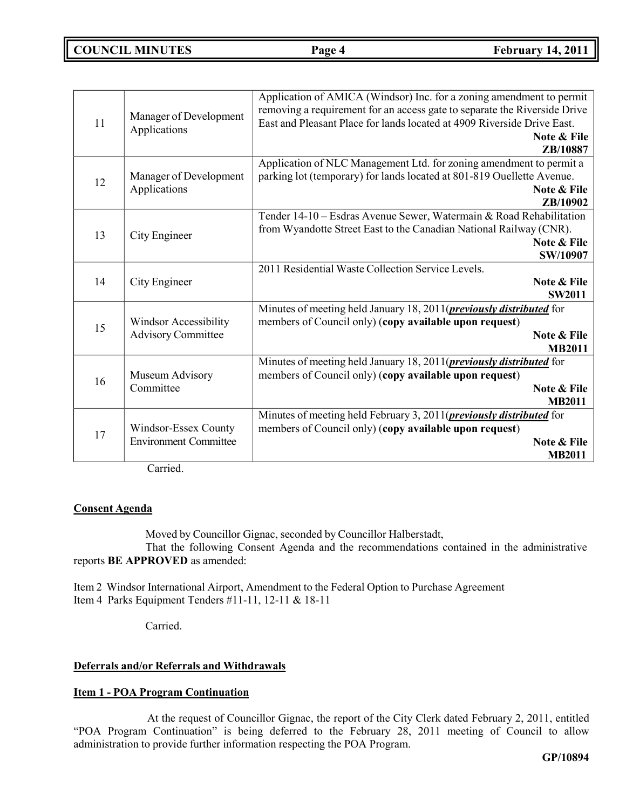## **COUNCIL MINUTES Page 4 February 14, 2011**

|                              |                              | Application of AMICA (Windsor) Inc. for a zoning amendment to permit        |
|------------------------------|------------------------------|-----------------------------------------------------------------------------|
|                              |                              | removing a requirement for an access gate to separate the Riverside Drive   |
| Manager of Development<br>11 |                              | East and Pleasant Place for lands located at 4909 Riverside Drive East.     |
|                              | Applications                 | Note & File                                                                 |
|                              |                              | ZB/10887                                                                    |
|                              |                              | Application of NLC Management Ltd. for zoning amendment to permit a         |
| 12                           | Manager of Development       | parking lot (temporary) for lands located at 801-819 Ouellette Avenue.      |
|                              | Applications                 | Note & File                                                                 |
|                              |                              | ZB/10902                                                                    |
|                              |                              | Tender 14-10 - Esdras Avenue Sewer, Watermain & Road Rehabilitation         |
| 13                           | City Engineer                | from Wyandotte Street East to the Canadian National Railway (CNR).          |
|                              |                              | Note & File                                                                 |
|                              |                              | SW/10907                                                                    |
|                              |                              | 2011 Residential Waste Collection Service Levels.                           |
| 14                           | City Engineer                | Note & File                                                                 |
|                              |                              | <b>SW2011</b>                                                               |
|                              |                              | Minutes of meeting held January 18, 2011( <i>previously distributed</i> for |
| 15                           | Windsor Accessibility        | members of Council only) (copy available upon request)                      |
|                              | <b>Advisory Committee</b>    | Note & File                                                                 |
|                              |                              | <b>MB2011</b>                                                               |
|                              |                              | Minutes of meeting held January 18, 2011( <i>previously distributed</i> for |
| 16                           | Museum Advisory              | members of Council only) (copy available upon request)                      |
|                              | Committee                    | Note & File                                                                 |
|                              |                              | <b>MB2011</b>                                                               |
|                              |                              | Minutes of meeting held February 3, 2011( <i>previously distributed</i> for |
| 17                           | Windsor-Essex County         | members of Council only) (copy available upon request)                      |
|                              | <b>Environment Committee</b> | Note & File                                                                 |
|                              |                              | <b>MB2011</b>                                                               |

Carried.

## **Consent Agenda**

Moved by Councillor Gignac, seconded by Councillor Halberstadt,

That the following Consent Agenda and the recommendations contained in the administrative reports **BE APPROVED** as amended:

Item 2 Windsor International Airport, Amendment to the Federal Option to Purchase Agreement Item 4 Parks Equipment Tenders #11-11, 12-11 & 18-11

Carried.

## **Deferrals and/or Referrals and Withdrawals**

## **Item 1 - POA Program Continuation**

At the request of Councillor Gignac, the report of the City Clerk dated February 2, 2011, entitled "POA Program Continuation" is being deferred to the February 28, 2011 meeting of Council to allow administration to provide further information respecting the POA Program.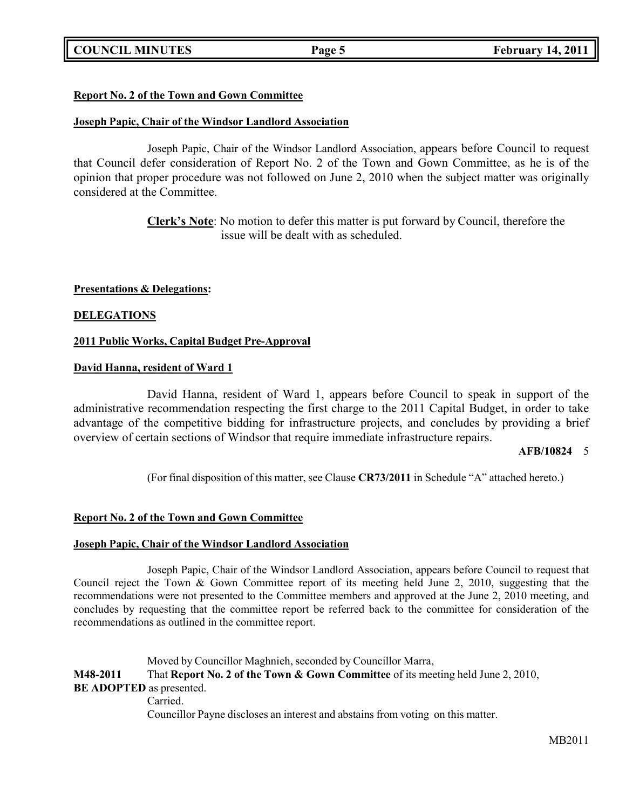## **COUNCIL MINUTES Page 5 February 14, 2011**

## **Report No. 2 of the Town and Gown Committee**

## **Joseph Papic, Chair of the Windsor Landlord Association**

Joseph Papic, Chair of the Windsor Landlord Association, appears before Council to request that Council defer consideration of Report No. 2 of the Town and Gown Committee, as he is of the opinion that proper procedure was not followed on June 2, 2010 when the subject matter was originally considered at the Committee.

> **Clerk's Note**: No motion to defer this matter is put forward by Council, therefore the issue will be dealt with as scheduled.

**Presentations & Delegations:**

## **DELEGATIONS**

## **2011 Public Works, Capital Budget Pre-Approval**

## **David Hanna, resident of Ward 1**

David Hanna, resident of Ward 1, appears before Council to speak in support of the administrative recommendation respecting the first charge to the 2011 Capital Budget, in order to take advantage of the competitive bidding for infrastructure projects, and concludes by providing a brief overview of certain sections of Windsor that require immediate infrastructure repairs.

### **AFB/10824** 5

(For final disposition of this matter, see Clause **CR73/2011** in Schedule "A" attached hereto.)

## **Report No. 2 of the Town and Gown Committee**

## **Joseph Papic, Chair of the Windsor Landlord Association**

Joseph Papic, Chair of the Windsor Landlord Association, appears before Council to request that Council reject the Town & Gown Committee report of its meeting held June 2, 2010, suggesting that the recommendations were not presented to the Committee members and approved at the June 2, 2010 meeting, and concludes by requesting that the committee report be referred back to the committee for consideration of the recommendations as outlined in the committee report.

Moved by Councillor Maghnieh, seconded by Councillor Marra, **M48-2011** That **Report No. 2 of the Town & Gown Committee** of its meeting held June 2, 2010, **BE ADOPTED** as presented. Carried. Councillor Payne discloses an interest and abstains from voting on this matter.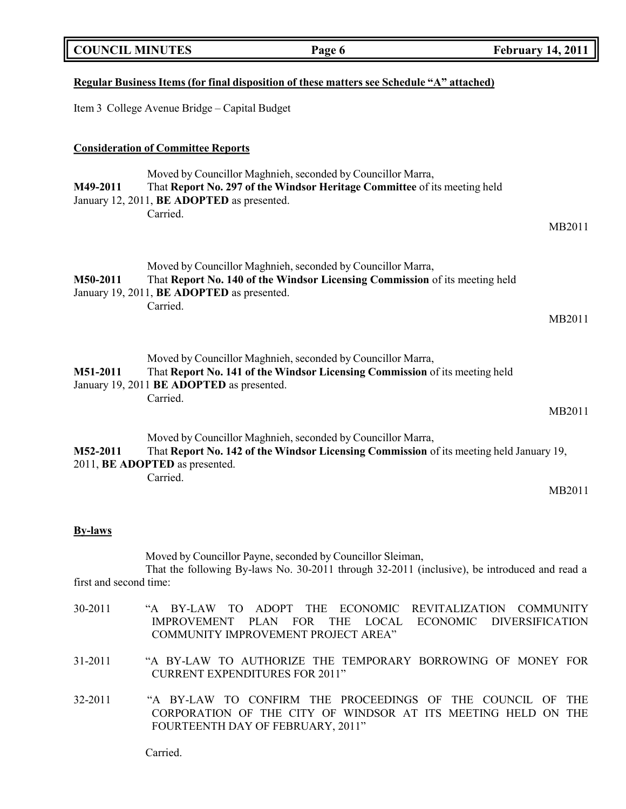| <b>COUNCIL MINUTES</b> | Page 6                                                                                                                                                                                               |                                                                                    | February 14, 2011 $\parallel$              |
|------------------------|------------------------------------------------------------------------------------------------------------------------------------------------------------------------------------------------------|------------------------------------------------------------------------------------|--------------------------------------------|
|                        | <u>Regular Business Items (for final disposition of these matters see Schedule "A" attached)</u>                                                                                                     |                                                                                    |                                            |
|                        | Item 3 College Avenue Bridge – Capital Budget                                                                                                                                                        |                                                                                    |                                            |
|                        | <b>Consideration of Committee Reports</b>                                                                                                                                                            |                                                                                    |                                            |
| M49-2011               | Moved by Councillor Maghnieh, seconded by Councillor Marra,<br>That Report No. 297 of the Windsor Heritage Committee of its meeting held<br>January 12, 2011, BE ADOPTED as presented.               |                                                                                    |                                            |
|                        | Carried.                                                                                                                                                                                             |                                                                                    | MB2011                                     |
| M50-2011               | Moved by Councillor Maghnieh, seconded by Councillor Marra,<br>That Report No. 140 of the Windsor Licensing Commission of its meeting held<br>January 19, 2011, BE ADOPTED as presented.<br>Carried. |                                                                                    |                                            |
|                        |                                                                                                                                                                                                      |                                                                                    | MB2011                                     |
| M51-2011               | Moved by Councillor Maghnieh, seconded by Councillor Marra,<br>That Report No. 141 of the Windsor Licensing Commission of its meeting held<br>January 19, 2011 BE ADOPTED as presented.              |                                                                                    |                                            |
|                        | Carried.                                                                                                                                                                                             |                                                                                    | MB2011                                     |
| M52-2011               | Moved by Councillor Maghnieh, seconded by Councillor Marra,<br>That Report No. 142 of the Windsor Licensing Commission of its meeting held January 19,<br>2011, BE ADOPTED as presented.             |                                                                                    |                                            |
|                        | Carried.                                                                                                                                                                                             |                                                                                    | MB2011                                     |
| <b>By-laws</b>         |                                                                                                                                                                                                      |                                                                                    |                                            |
| first and second time: | Moved by Councillor Payne, seconded by Councillor Sleiman,<br>That the following By-laws No. 30-2011 through 32-2011 (inclusive), be introduced and read a                                           |                                                                                    |                                            |
| 30-2011                | BY-LAW<br>TO.<br><b>ADOPT</b><br><b>THE</b><br>$A^{\cdot\cdot}$<br><b>IMPROVEMENT</b><br><b>PLAN</b><br><b>FOR</b><br>COMMUNITY IMPROVEMENT PROJECT AREA"                                            | <b>REVITALIZATION</b><br>ECONOMIC<br><b>THE</b><br><b>LOCAL</b><br><b>ECONOMIC</b> | <b>COMMUNITY</b><br><b>DIVERSIFICATION</b> |

ור

31-2011 "A BY-LAW TO AUTHORIZE THE TEMPORARY BORROWING OF MONEY FOR CURRENT EXPENDITURES FOR 2011"

32-2011 "A BY-LAW TO CONFIRM THE PROCEEDINGS OF THE COUNCIL OF THE CORPORATION OF THE CITY OF WINDSOR AT ITS MEETING HELD ON THE FOURTEENTH DAY OF FEBRUARY, 2011"

Carried.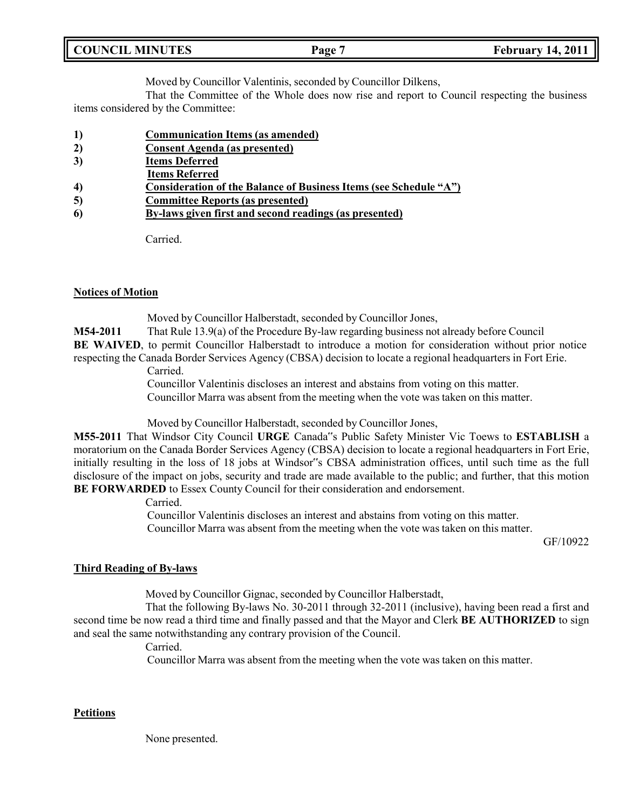| <b>COUNCIL MINUTES</b><br><b>February 14, 2011</b><br>Page 7 |
|--------------------------------------------------------------|
|--------------------------------------------------------------|

Moved by Councillor Valentinis, seconded by Councillor Dilkens,

That the Committee of the Whole does now rise and report to Council respecting the business items considered by the Committee:

- **1) Communication Items (as amended)**
- **2) Consent Agenda (as presented)**
- **3) Items Deferred**
- **Items Referred**
- **4) Consideration of the Balance of Business Items (see Schedule "A")**
- **5) Committee Reports (as presented)**
- **6) By-laws given first and second readings (as presented)**

Carried.

## **Notices of Motion**

Moved by Councillor Halberstadt, seconded by Councillor Jones,

**M54-2011** That Rule 13.9(a) of the Procedure By-law regarding business not already before Council

**BE WAIVED**, to permit Councillor Halberstadt to introduce a motion for consideration without prior notice

respecting the Canada Border Services Agency (CBSA) decision to locate a regional headquarters in Fort Erie.

Carried.

Councillor Valentinis discloses an interest and abstains from voting on this matter. Councillor Marra was absent from the meeting when the vote was taken on this matter.

Moved by Councillor Halberstadt, seconded by Councillor Jones,

**M55-2011** That Windsor City Council **URGE** Canada"s Public Safety Minister Vic Toews to **ESTABLISH** a moratorium on the Canada Border Services Agency (CBSA) decision to locate a regional headquarters in Fort Erie, initially resulting in the loss of 18 jobs at Windsor"s CBSA administration offices, until such time as the full disclosure of the impact on jobs, security and trade are made available to the public; and further, that this motion **BE FORWARDED** to Essex County Council for their consideration and endorsement.

## Carried.

Councillor Valentinis discloses an interest and abstains from voting on this matter. Councillor Marra was absent from the meeting when the vote was taken on this matter.

GF/10922

## **Third Reading of By-laws**

Moved by Councillor Gignac, seconded by Councillor Halberstadt,

That the following By-laws No. 30-2011 through 32-2011 (inclusive), having been read a first and second time be now read a third time and finally passed and that the Mayor and Clerk **BE AUTHORIZED** to sign and seal the same notwithstanding any contrary provision of the Council.

Carried.

Councillor Marra was absent from the meeting when the vote was taken on this matter.

## **Petitions**

None presented.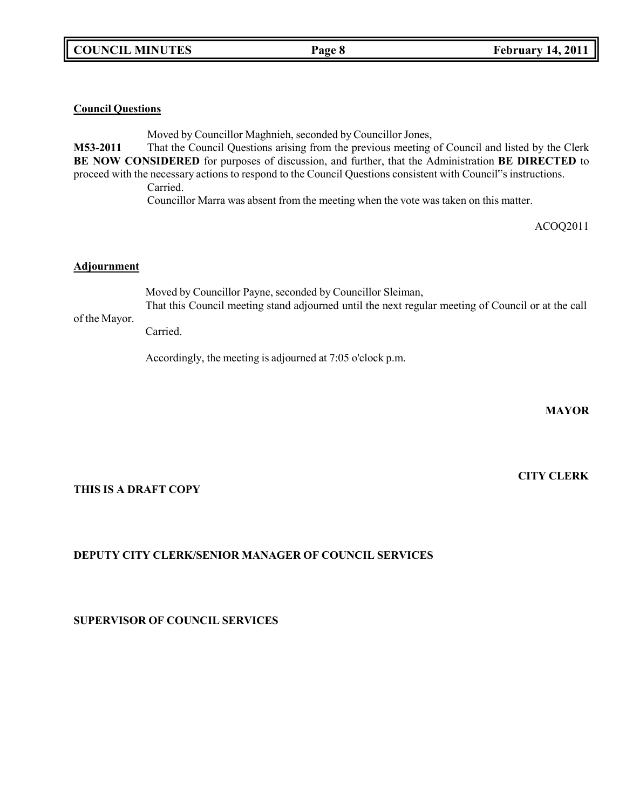### **Council Questions**

Moved by Councillor Maghnieh, seconded by Councillor Jones, **M53-2011** That the Council Questions arising from the previous meeting of Council and listed by the Clerk **BE NOW CONSIDERED** for purposes of discussion, and further, that the Administration **BE DIRECTED** to proceed with the necessary actions to respond to the Council Questions consistent with Council"s instructions. Carried.

Councillor Marra was absent from the meeting when the vote was taken on this matter.

ACOQ2011

### **Adjournment**

Moved by Councillor Payne, seconded by Councillor Sleiman, That this Council meeting stand adjourned until the next regular meeting of Council or at the call

## of the Mayor.

Carried.

Accordingly, the meeting is adjourned at 7:05 o'clock p.m.

**MAYOR**

## **THIS IS A DRAFT COPY**

## **DEPUTY CITY CLERK/SENIOR MANAGER OF COUNCIL SERVICES**

**SUPERVISOR OF COUNCIL SERVICES**

# **CITY CLERK**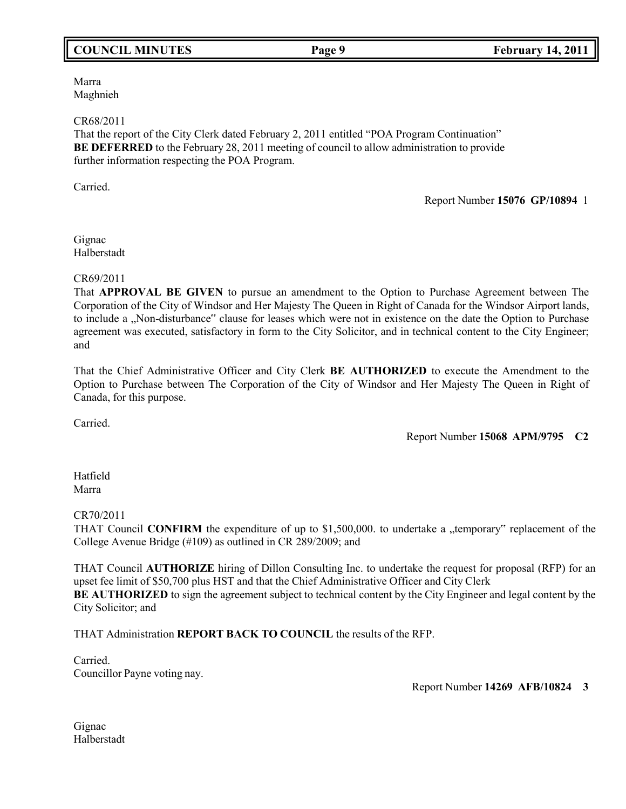## **COUNCIL MINUTES Page 9 February 14, 2011**

Marra Maghnieh

### CR68/2011

That the report of the City Clerk dated February 2, 2011 entitled "POA Program Continuation" **BE DEFERRED** to the February 28, 2011 meeting of council to allow administration to provide further information respecting the POA Program.

Carried.

Report Number **15076 GP/10894** 1

Gignac Halberstadt

### CR69/2011

That **APPROVAL BE GIVEN** to pursue an amendment to the Option to Purchase Agreement between The Corporation of the City of Windsor and Her Majesty The Queen in Right of Canada for the Windsor Airport lands, to include a "Non-disturbance" clause for leases which were not in existence on the date the Option to Purchase agreement was executed, satisfactory in form to the City Solicitor, and in technical content to the City Engineer; and

That the Chief Administrative Officer and City Clerk **BE AUTHORIZED** to execute the Amendment to the Option to Purchase between The Corporation of the City of Windsor and Her Majesty The Queen in Right of Canada, for this purpose.

Carried.

Report Number **15068 APM/9795 C2**

Hatfield Marra

### CR70/2011

THAT Council **CONFIRM** the expenditure of up to \$1,500,000. to undertake a "temporary" replacement of the College Avenue Bridge (#109) as outlined in CR 289/2009; and

THAT Council **AUTHORIZE** hiring of Dillon Consulting Inc. to undertake the request for proposal (RFP) for an upset fee limit of \$50,700 plus HST and that the Chief Administrative Officer and City Clerk **BE AUTHORIZED** to sign the agreement subject to technical content by the City Engineer and legal content by the City Solicitor; and

THAT Administration **REPORT BACK TO COUNCIL** the results of the RFP.

Carried. Councillor Payne voting nay.

Report Number **14269 AFB/10824 3**

Gignac Halberstadt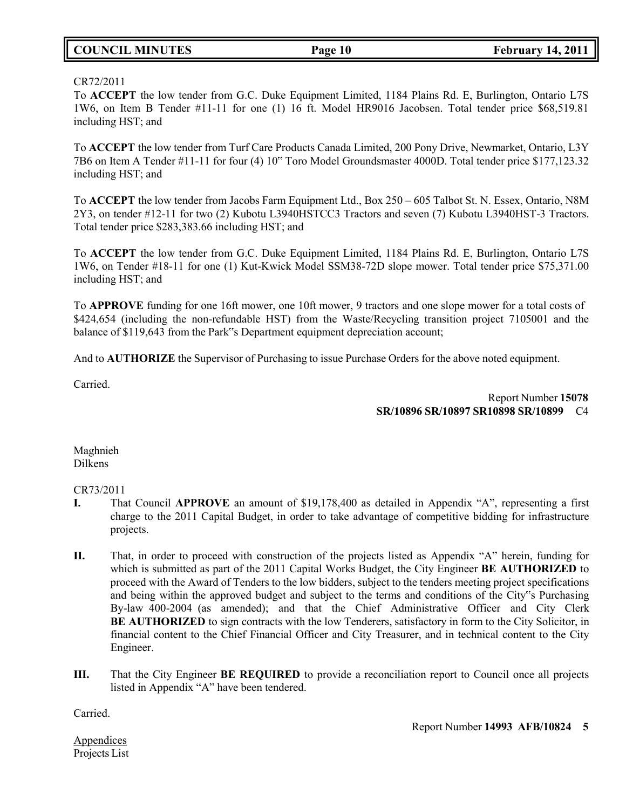## **COUNCIL MINUTES Page 10 February 14, 2011**

### CR72/2011

To **ACCEPT** the low tender from G.C. Duke Equipment Limited, 1184 Plains Rd. E, Burlington, Ontario L7S 1W6, on Item B Tender #11-11 for one (1) 16 ft. Model HR9016 Jacobsen. Total tender price \$68,519.81 including HST; and

To **ACCEPT** the low tender from Turf Care Products Canada Limited, 200 Pony Drive, Newmarket, Ontario, L3Y 7B6 on Item A Tender #11-11 for four (4) 10" Toro Model Groundsmaster 4000D. Total tender price \$177,123.32 including HST; and

To **ACCEPT** the low tender from Jacobs Farm Equipment Ltd., Box 250 – 605 Talbot St. N. Essex, Ontario, N8M 2Y3, on tender #12-11 for two (2) Kubotu L3940HSTCC3 Tractors and seven (7) Kubotu L3940HST-3 Tractors. Total tender price \$283,383.66 including HST; and

To **ACCEPT** the low tender from G.C. Duke Equipment Limited, 1184 Plains Rd. E, Burlington, Ontario L7S 1W6, on Tender #18-11 for one (1) Kut-Kwick Model SSM38-72D slope mower. Total tender price \$75,371.00 including HST; and

To **APPROVE** funding for one 16ft mower, one 10ft mower, 9 tractors and one slope mower for a total costs of \$424,654 (including the non-refundable HST) from the Waste/Recycling transition project 7105001 and the balance of \$119,643 from the Park"s Department equipment depreciation account;

And to **AUTHORIZE** the Supervisor of Purchasing to issue Purchase Orders for the above noted equipment.

Carried.

Report Number **15078 SR/10896 SR/10897 SR10898 SR/10899** C4

Maghnieh Dilkens

## CR73/2011

- **I.** That Council **APPROVE** an amount of \$19,178,400 as detailed in Appendix "A", representing a first charge to the 2011 Capital Budget, in order to take advantage of competitive bidding for infrastructure projects.
- **II.** That, in order to proceed with construction of the projects listed as Appendix "A" herein, funding for which is submitted as part of the 2011 Capital Works Budget, the City Engineer **BE AUTHORIZED** to proceed with the Award of Tenders to the low bidders, subject to the tenders meeting project specifications and being within the approved budget and subject to the terms and conditions of the City"s Purchasing By-law 400-2004 (as amended); and that the Chief Administrative Officer and City Clerk **BE AUTHORIZED** to sign contracts with the low Tenderers, satisfactory in form to the City Solicitor, in financial content to the Chief Financial Officer and City Treasurer, and in technical content to the City Engineer.
- **III.** That the City Engineer **BE REQUIRED** to provide a reconciliation report to Council once all projects listed in Appendix "A" have been tendered.

Carried.

Report Number **14993 AFB/10824 5**

Appendices Projects List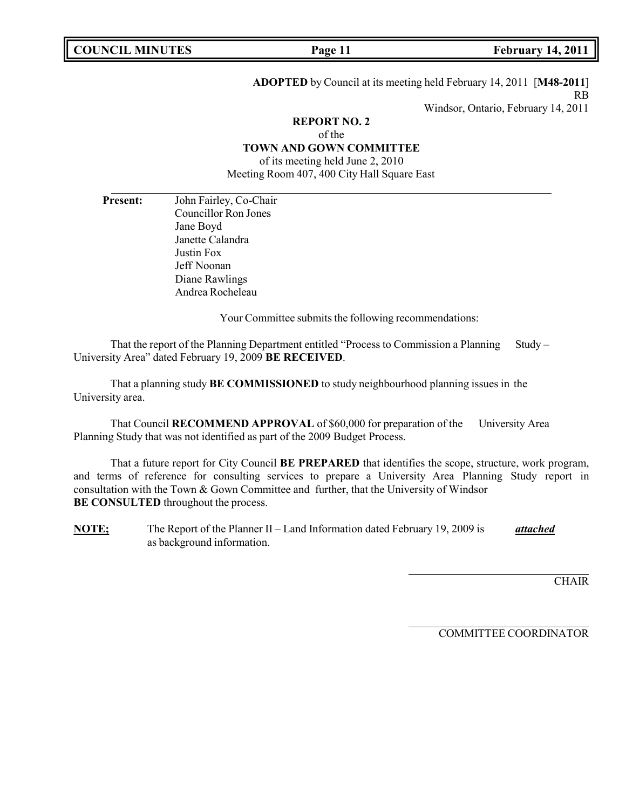**ADOPTED** by Council at its meeting held February 14, 2011 [**M48-2011**] RB

Windsor, Ontario, February 14, 2011

## **REPORT NO. 2** of the **TOWN AND GOWN COMMITTEE**

of its meeting held June 2, 2010 Meeting Room 407, 400 City Hall Square East

**Present:** John Fairley, Co-Chair Councillor Ron Jones Jane Boyd Janette Calandra Justin Fox Jeff Noonan Diane Rawlings Andrea Rocheleau

Your Committee submits the following recommendations:

That the report of the Planning Department entitled "Process to Commission a Planning Study – University Area" dated February 19, 2009 **BE RECEIVED**.

That a planning study **BE COMMISSIONED** to study neighbourhood planning issues in the University area.

That Council **RECOMMEND APPROVAL** of \$60,000 for preparation of the University Area Planning Study that was not identified as part of the 2009 Budget Process.

That a future report for City Council **BE PREPARED** that identifies the scope, structure, work program, and terms of reference for consulting services to prepare a University Area Planning Study report in consultation with the Town & Gown Committee and further, that the University of Windsor **BE CONSULTED** throughout the process.

**NOTE;** The Report of the Planner II – Land Information dated February 19, 2009 is *attached* as background information.

**CHAIR** 

COMMITTEE COORDINATOR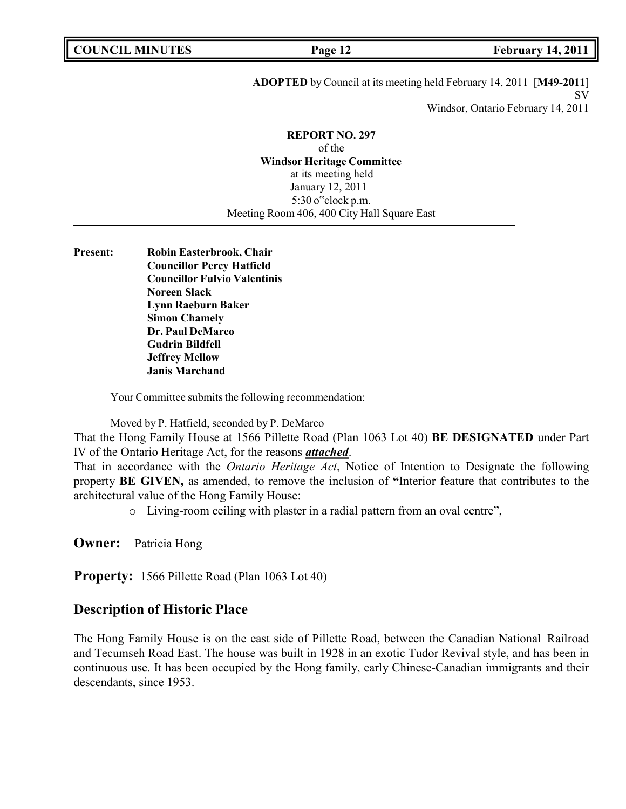**ADOPTED** by Council at its meeting held February 14, 2011 [**M49-2011**] SV

Windsor, Ontario February 14, 2011

## **REPORT NO. 297**

of the **Windsor Heritage Committee** at its meeting held January 12, 2011 5:30 o"clock p.m. Meeting Room 406, 400 City Hall Square East

**Present: Robin Easterbrook, Chair Councillor Percy Hatfield Councillor Fulvio Valentinis Noreen Slack Lynn Raeburn Baker Simon Chamely Dr. Paul DeMarco Gudrin Bildfell Jeffrey Mellow Janis Marchand**

Your Committee submits the following recommendation:

Moved by P. Hatfield, seconded by P. DeMarco

That the Hong Family House at 1566 Pillette Road (Plan 1063 Lot 40) **BE DESIGNATED** under Part IV of the Ontario Heritage Act, for the reasons *attached*.

That in accordance with the *Ontario Heritage Act*, Notice of Intention to Designate the following property **BE GIVEN,** as amended, to remove the inclusion of **"**Interior feature that contributes to the architectural value of the Hong Family House:

o Living-room ceiling with plaster in a radial pattern from an oval centre",

**Owner:** Patricia Hong

**Property:** 1566 Pillette Road (Plan 1063 Lot 40)

## **Description of Historic Place**

The Hong Family House is on the east side of Pillette Road, between the Canadian National Railroad and Tecumseh Road East. The house was built in 1928 in an exotic Tudor Revival style, and has been in continuous use. It has been occupied by the Hong family, early Chinese-Canadian immigrants and their descendants, since 1953.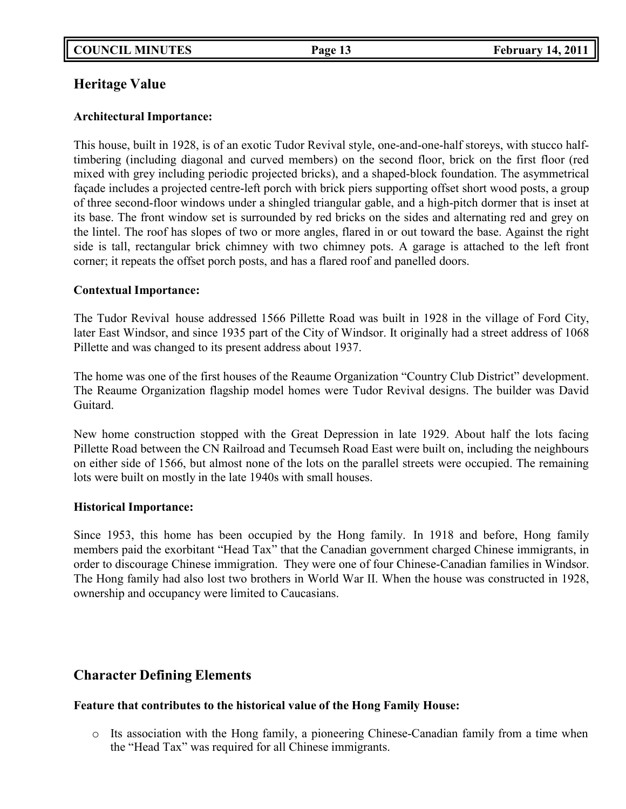## **Heritage Value**

## **Architectural Importance:**

This house, built in 1928, is of an exotic Tudor Revival style, one-and-one-half storeys, with stucco halftimbering (including diagonal and curved members) on the second floor, brick on the first floor (red mixed with grey including periodic projected bricks), and a shaped-block foundation. The asymmetrical façade includes a projected centre-left porch with brick piers supporting offset short wood posts, a group of three second-floor windows under a shingled triangular gable, and a high-pitch dormer that is inset at its base. The front window set is surrounded by red bricks on the sides and alternating red and grey on the lintel. The roof has slopes of two or more angles, flared in or out toward the base. Against the right side is tall, rectangular brick chimney with two chimney pots. A garage is attached to the left front corner; it repeats the offset porch posts, and has a flared roof and panelled doors.

## **Contextual Importance:**

The Tudor Revival house addressed 1566 Pillette Road was built in 1928 in the village of Ford City, later East Windsor, and since 1935 part of the City of Windsor. It originally had a street address of 1068 Pillette and was changed to its present address about 1937.

The home was one of the first houses of the Reaume Organization "Country Club District" development. The Reaume Organization flagship model homes were Tudor Revival designs. The builder was David Guitard.

New home construction stopped with the Great Depression in late 1929. About half the lots facing Pillette Road between the CN Railroad and Tecumseh Road East were built on, including the neighbours on either side of 1566, but almost none of the lots on the parallel streets were occupied. The remaining lots were built on mostly in the late 1940s with small houses.

## **Historical Importance:**

Since 1953, this home has been occupied by the Hong family. In 1918 and before, Hong family members paid the exorbitant "Head Tax" that the Canadian government charged Chinese immigrants, in order to discourage Chinese immigration. They were one of four Chinese-Canadian families in Windsor. The Hong family had also lost two brothers in World War II. When the house was constructed in 1928, ownership and occupancy were limited to Caucasians.

## **Character Defining Elements**

## **Feature that contributes to the historical value of the Hong Family House:**

o Its association with the Hong family, a pioneering Chinese-Canadian family from a time when the "Head Tax" was required for all Chinese immigrants.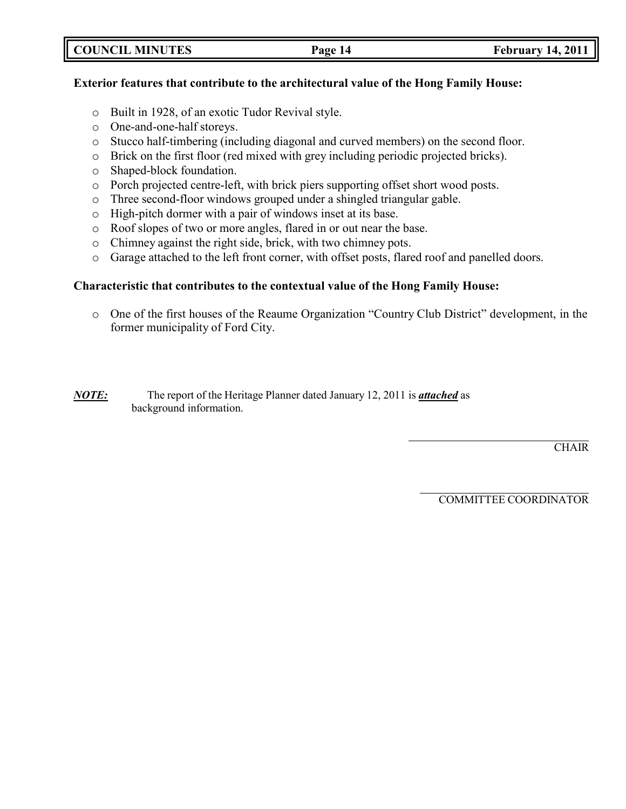|  |  |  | <b>COUNCIL MINUTES</b> |  |  |  |  |
|--|--|--|------------------------|--|--|--|--|
|--|--|--|------------------------|--|--|--|--|

## **Exterior features that contribute to the architectural value of the Hong Family House:**

- o Built in 1928, of an exotic Tudor Revival style.
- o One-and-one-half storeys.
- o Stucco half-timbering (including diagonal and curved members) on the second floor.
- o Brick on the first floor (red mixed with grey including periodic projected bricks).
- o Shaped-block foundation.
- o Porch projected centre-left, with brick piers supporting offset short wood posts.
- o Three second-floor windows grouped under a shingled triangular gable.
- o High-pitch dormer with a pair of windows inset at its base.
- o Roof slopes of two or more angles, flared in or out near the base.
- o Chimney against the right side, brick, with two chimney pots.
- o Garage attached to the left front corner, with offset posts, flared roof and panelled doors.

## **Characteristic that contributes to the contextual value of the Hong Family House:**

o One of the first houses of the Reaume Organization "Country Club District" development, in the former municipality of Ford City.

## *NOTE:* The report of the Heritage Planner dated January 12, 2011 is *attached* as background information.

**CHAIR** 

COMMITTEE COORDINATOR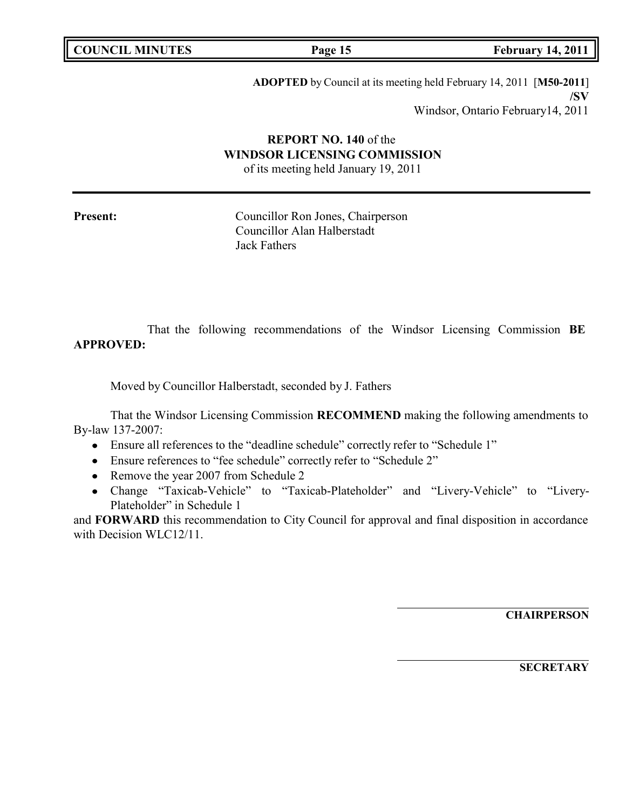| <b>COUNCIL MINUTES</b> |  |
|------------------------|--|
|------------------------|--|

**COUNCIL EXECUTE: COUNCIL EXECUTE: Page 15 February** 14, 2011

**ADOPTED** by Council at its meeting held February 14, 2011 [**M50-2011**] **/SV** Windsor, Ontario February14, 2011

# **REPORT NO. 140** of the **WINDSOR LICENSING COMMISSION**

of its meeting held January 19, 2011

Present: Councillor Ron Jones, Chairperson Councillor Alan Halberstadt Jack Fathers

That the following recommendations of the Windsor Licensing Commission **BE APPROVED:**

Moved by Councillor Halberstadt, seconded by J. Fathers

That the Windsor Licensing Commission **RECOMMEND** making the following amendments to By-law 137-2007:

- Ensure all references to the "deadline schedule" correctly refer to "Schedule 1"
- Ensure references to "fee schedule" correctly refer to "Schedule 2"
- Remove the year 2007 from Schedule 2
- Change "Taxicab-Vehicle" to "Taxicab-Plateholder" and "Livery-Vehicle" to "Livery-Plateholder" in Schedule 1

and **FORWARD** this recommendation to City Council for approval and final disposition in accordance with Decision WLC12/11.

**CHAIRPERSON**

**SECRETARY**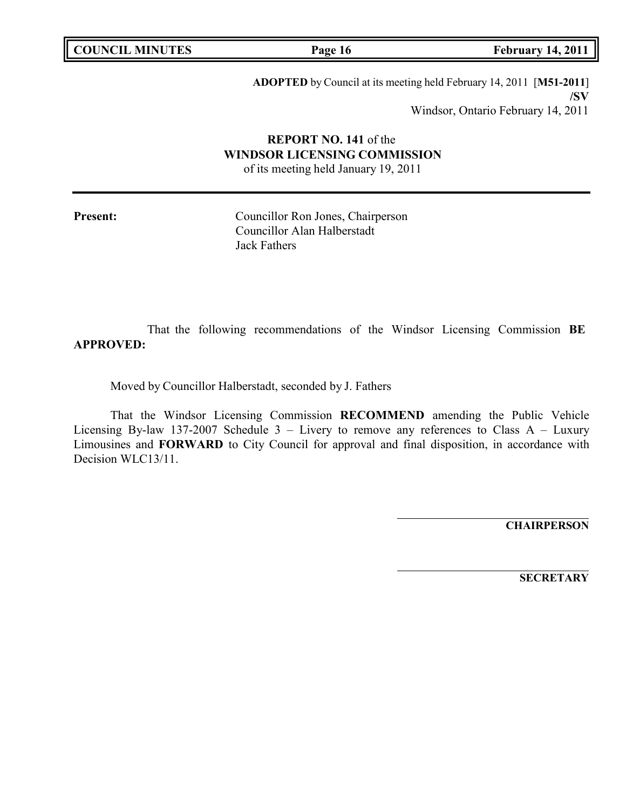**COUNCIL EXECUTE: Page 16 February** 14, 2011

**ADOPTED** by Council at its meeting held February 14, 2011 [**M51-2011**] **/SV** Windsor, Ontario February 14, 2011

# **REPORT NO. 141** of the **WINDSOR LICENSING COMMISSION**

of its meeting held January 19, 2011

Present: Councillor Ron Jones, Chairperson Councillor Alan Halberstadt Jack Fathers

That the following recommendations of the Windsor Licensing Commission **BE APPROVED:**

Moved by Councillor Halberstadt, seconded by J. Fathers

That the Windsor Licensing Commission **RECOMMEND** amending the Public Vehicle Licensing By-law 137-2007 Schedule  $3$  – Livery to remove any references to Class A – Luxury Limousines and **FORWARD** to City Council for approval and final disposition, in accordance with Decision WLC13/11.

**CHAIRPERSON**

**SECRETARY**